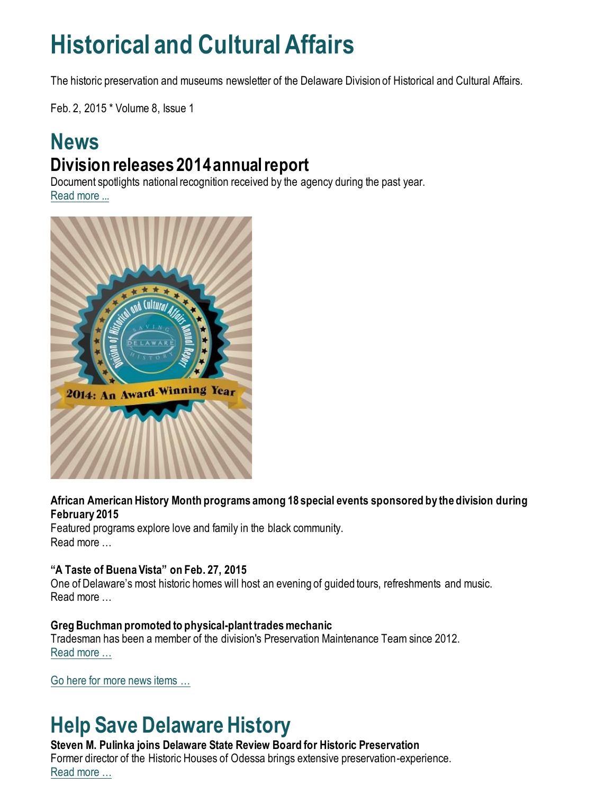# **Historical and Cultural Affairs**

The historic preservation and museums newsletter of the Delaware Division of Historical and Cultural Affairs.

Feb. 2, 2015 \* Volume 8, Issue 1

### **News Division releases 2014 annual report**

Document spotlights national recognition received by the agency during the past year. [Read more ...](https://history.delaware.gov/2015/01/30/division-releases-2014-annual-report/)



#### **African American History Month programs among 18 special events sponsored by the division during February 2015**

Featured programs explore love and family in the black community. Read more …

#### **"A Taste of Buena Vista" on Feb. 27, 2015**

One of Delaware's most historic homes will host an evening of guided tours, refreshments and music. Read more …

#### **Greg Buchman promoted to physical-plant trades mechanic**

Tradesman has been a member of the division's Preservation Maintenance Team since 2012. [Read more …](https://history.delaware.gov/2015/01/30/greg-buchman-promoted-to-physical-plant-trades-mechanic/)

[Go here for more news items …](http://history.blogs.delaware.gov/)

# **Help Save Delaware History**

#### **Steven M. Pulinka joins Delaware State Review Board for Historic Preservation**

Former director of the Historic Houses of Odessa brings extensive preservation-experience. Re[ad more …](https://history.delaware.gov/2015/01/30/steven-m-pulinka-joins-delaware-state-review-board-for-historic-preservation/)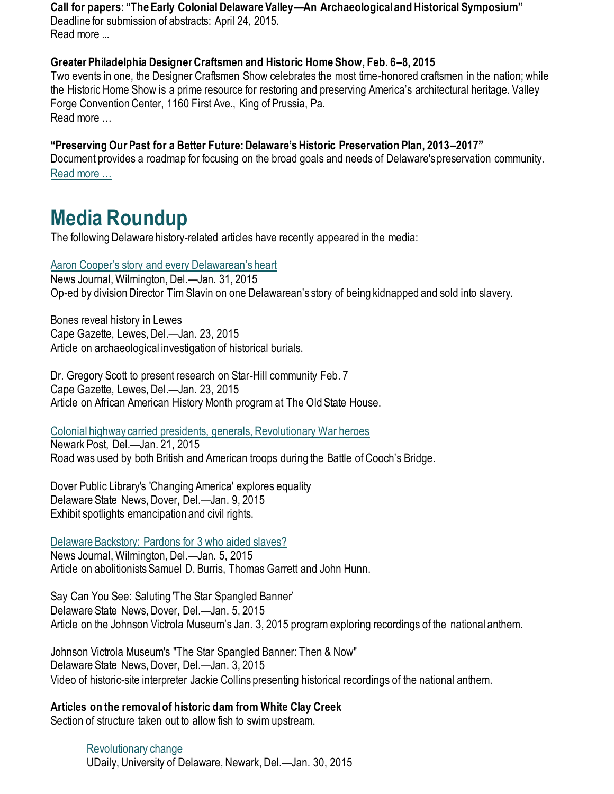**Call for papers: "The Early Colonial Delaware Valley—An Archaeological and Historical Symposium"**

Deadline for submission of abstracts: April 24, 2015. Read more ...

#### **Greater Philadelphia Designer Craftsmen and Historic Home Show, Feb. 6–8, 2015**

Two events in one, the Designer Craftsmen Show celebrates the most time-honored craftsmen in the nation; while the Historic Home Show is a prime resource for restoring and preserving America's architectural heritage. Valley Forge Convention Center, 1160 First Ave., King of Prussia, Pa. Read more

#### **"Preserving Our Past for a Better Future: Delaware's Historic Preservation Plan, 2013–2017"**

Document provides a roadmap for focusing on the broad goals and needs of Delaware's preservation community. [Read more …](https://history.delaware.gov/wp-content/uploads/sites/179/2019/02/Preservation-Plan-2013-2017.pdf)

## **Media Roundup**

The following Delaware history-related articles have recently appeared in the media:

#### [Aaron Cooper's story and every Delawarean's heart](https://www.delawareonline.com/story/opinion/contributors/2015/01/31/aaron-coopers-story-every-delawareans-heart/22657687/)

News Journal, Wilmington, Del.—Jan. 31, 2015 Op-ed by division Director Tim Slavin on one Delawarean's story of being kidnapped and sold into slavery.

Bones reveal history in Lewes Cape Gazette, Lewes, Del.—Jan. 23, 2015 Article on archaeological investigation of historical burials.

Dr. Gregory Scott to present research on Star-Hill community Feb. 7 Cape Gazette, Lewes, Del.—Jan. 23, 2015 Article on African American History Month program at The Old State House.

[Colonial highway carried presidents, generals, Revolutionary War heroes](https://www.newarkpostonline.com/news/article_585a9a09-0de6-5556-bcd3-07b41e8617b4.html)

Newark Post, Del.—Jan. 21, 2015 Road was used by both British and American troops during the Battle of Cooch's Bridge.

Dover Public Library's 'Changing America' explores equality Delaware State News, Dover, Del.—Jan. 9, 2015 Exhibit spotlights emancipation and civil rights.

#### [Delaware Backstory: Pardons for 3 who aided slaves?](https://www.delawareonline.com/story/news/local/2015/01/04/delaware-backstory-pardons-aided-slaves/21270495/)

News Journal, Wilmington, Del.—Jan. 5, 2015 Article on abolitionists Samuel D. Burris, Thomas Garrett and John Hunn.

Say Can You See: Saluting 'The Star Spangled Banner' Delaware State News, Dover, Del.—Jan. 5, 2015 Article on the Johnson Victrola Museum's Jan. 3, 2015 program exploring recordings of the national anthem.

Johnson Victrola Museum's "The Star Spangled Banner: Then & Now" Delaware State News, Dover, Del.—Jan. 3, 2015 Video of historic-site interpreter Jackie Collins presenting historical recordings of the national anthem.

#### **Articles on the removal of historic dam from White Clay Creek**

Section of structure taken out to allow fish to swim upstream.

[Revolutionary change](http://www1.udel.edu/udaily/2015/jan/white-clay-dam-removal-013015.html) UDaily, University of Delaware, Newark, Del.—Jan. 30, 2015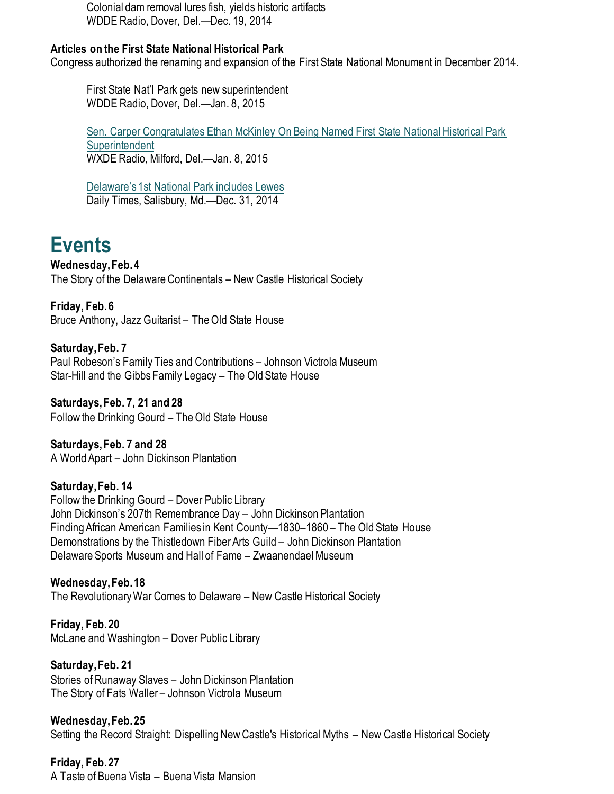Colonial dam removal lures fish, yields historic artifacts WDDE Radio, Dover, Del.—Dec. 19, 2014

#### **Articles on the First State National Historical Park**

Congress authorized the renaming and expansion of the First State National Monument in December 2014.

First State Nat'l Park gets new superintendent WDDE Radio, Dover, Del.—Jan. 8, 2015

[Sen. Carper Congratulates Ethan McKinley On Being Named First State National Historical Park](http://www.delaware1059.com/story/14058-sen-carper-congratulates-ethan-mckinley-on-being-named-first-state-national-historical-park-superintendent)  **[Superintendent](http://www.delaware1059.com/story/14058-sen-carper-congratulates-ethan-mckinley-on-being-named-first-state-national-historical-park-superintendent)** WXDE Radio, Milford, Del.—Jan. 8, 2015

[Delaware's 1st National P](https://www.delmarvanow.com/story/news/local/delaware/2014/12/31/first-national-park-delaware/21115299/)ark includes Lewes Daily Times, Salisbury, Md.—Dec. 31, 2014

## **Events**

**Wednesday, Feb. 4** The Story of the Delaware Continentals – New Castle Historical Society

**Friday, Feb. 6** Bruce Anthony, Jazz Guitarist – The Old State House

**Saturday, Feb. 7** Paul Robeson's Family Ties and Contributions – Johnson Victrola Museum Star-Hill and the Gibbs Family Legacy – The Old State House

**Saturdays, Feb. 7, 21 and 28** Follow the Drinking Gourd – The Old State House

**Saturdays, Feb. 7 and 28** A World Apart – John Dickinson Plantation

**Saturday, Feb. 14** Follow the Drinking Gourd – Dover Public Library John Dickinson's 207th Remembrance Day – John Dickinson Plantation Finding African American Families in Kent County—1830–1860 – The Old State House Demonstrations by the Thistledown Fiber Arts Guild – John Dickinson Plantation Delaware Sports Museum and Hall of Fame – Zwaanendael Museum

**Wednesday, Feb. 18** The Revolutionary War Comes to Delaware – New Castle Historical Society

**Friday, Feb. 20** McLane and Washington – Dover Public Library

**Saturday, Feb. 21** Stories of Runaway Slaves – John Dickinson Plantation The Story of Fats Waller – Johnson Victrola Museum

**Wednesday, Feb. 25** Setting the Record Straight: Dispelling New Castle's Historical Myths – New Castle Historical Society

**Friday, Feb. 27** A Taste of Buena Vista – Buena Vista Mansion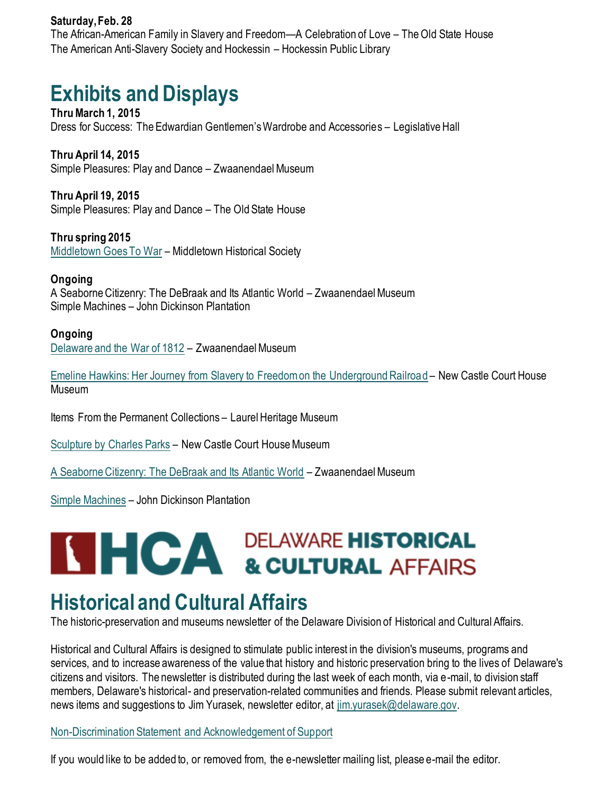#### **Saturday, Feb. 28**

The African-American Family in Slavery and Freedom—A Celebration of Love – The Old State House The American Anti-Slavery Society and Hockessin – Hockessin Public Library

# **Exhibits and Displays**

**Thru March 1, 2015** Dress for Success: The Edwardian Gentlemen's Wardrobe and Accessories – Legislative Hall

**Thru April 14, 2015** Simple Pleasures: Play and Dance – Zwaanendael Museum

**Thru April 19, 2015** Simple Pleasures: Play and Dance – The Old State House

**Thru spring 2015** [Middletown Goes To War](http://history.blogs.delaware.gov/2014/07/01/middletown-goes-to-war-exhibit-at-the-middletown-historical-society/) – Middletown Historical Society

#### **Ongoing**

A Seaborne Citizenry: The DeBraak and Its Atlantic World – Zwaanendael Museum Simple Machines – John Dickinson Plantation

#### **Ongoing**

[Delaware and the War of 1812](https://history.delaware.gov/2014/09/10/zwaanendael-museum-features-exhibit-delaware-and-the-war-of-1812/) – Zwaanendael Museum

[Emeline Hawkins: Her Journey from Slavery to Freedom on the Underground Railroad](http://history.blogs.delaware.gov/2014/09/16/emeline-hawkins-her-journey-from-slavery-to-freedom-on-the-underground-railroad-at-the-new-castle-court-house-museum/) – New Castle Court House Museum

Items From the Permanent Collections – Laurel Heritage Museum

[Sculpture by Charles Parks](https://history.delaware.gov/2018/11/27/display-of-sculpture-by-charles-parks-at-the-new-castle-court-house-museum/) – New Castle Court House Museum

[A Seaborne Citizenry: The DeBraak and Its Atlantic World](http://history.blogs.delaware.gov/2014/09/10/a-seaborne-citizenry-the-debraak-and-its-atlantic-world-exhibit-at-the-zwaanendael-museum-2/) – Zwaanendael Museum

[Simple Machines](http://history.blogs.delaware.gov/2014/09/11/simple-machines-exhibit-at-the-john-dickinson-plantation/) – John Dickinson Plantation

# **SHICA DELAWARE HISTORICAL SECULTURAL AFFAIRS**

## **Historical and Cultural Affairs**

The historic-preservation and museums newsletter of the Delaware Division of Historical and Cultural Affairs.

Historical and Cultural Affairs is designed to stimulate public interest in the division's museums, programs and services, and to increase awareness of the value that history and historic preservation bring to the lives of Delaware's citizens and visitors. The newsletter is distributed during the last week of each month, via e-mail, to division staff members, Delaware's historical- and preservation-related communities and friends. Please submit relevant articles, news items and suggestions to Jim Yurasek, newsletter editor, at [jim.yurasek@delaware.gov.](mailto:jim.yurasek@delaware.gov)

[Non-Discrimination Statement and Acknowledgement of Support](https://history.delaware.gov/about-agency/#statement) 

If you would like to be added to, or removed from, the e-newsletter mailing list, please e-mail the editor.